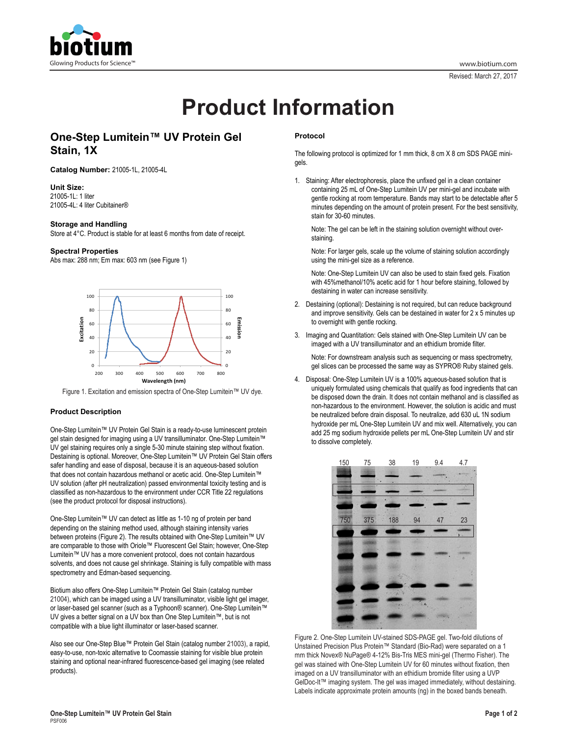

Revised: March 27, 2017

# **Product Information**

## **One-Step Lumitein™ UV Protein Gel Stain, 1X**

**Catalog Number:** 21005-1L, 21005-4L

**Unit Size:**  21005-1L: 1 liter 21005-4L: 4 liter Cubitainer®

#### **Storage and Handling**

Store at 4°C. Product is stable for at least 6 months from date of receipt.

#### **Spectral Properties**

Abs max: 288 nm; Em max: 603 nm (see Figure 1)



Figure 1. Excitation and emission spectra of One-Step Lumitein™ UV dye.

#### **Product Description**

One-Step Lumitein™ UV Protein Gel Stain is a ready-to-use luminescent protein gel stain designed for imaging using a UV transilluminator. One-Step Lumitein™ UV gel staining requires only a single 5-30 minute staining step without fixation. Destaining is optional. Moreover, One-Step Lumitein™ UV Protein Gel Stain offers safer handling and ease of disposal, because it is an aqueous-based solution that does not contain hazardous methanol or acetic acid. One-Step Lumitein™ UV solution (after pH neutralization) passed environmental toxicity testing and is classified as non-hazardous to the environment under CCR Title 22 regulations (see the product protocol for disposal instructions).

One-Step Lumitein™ UV can detect as little as 1-10 ng of protein per band depending on the staining method used, although staining intensity varies between proteins (Figure 2). The results obtained with One-Step Lumitein™ UV are comparable to those with Oriole™ Fluorescent Gel Stain; however, One-Step Lumitein™ UV has a more convenient protocol, does not contain hazardous solvents, and does not cause gel shrinkage. Staining is fully compatible with mass spectrometry and Edman-based sequencing.

Biotium also offers One-Step Lumitein™ Protein Gel Stain (catalog number 21004), which can be imaged using a UV transilluminator, visible light gel imager, or laser-based gel scanner (such as a Typhoon® scanner). One-Step Lumitein™ UV gives a better signal on a UV box than One Step Lumitein™, but is not compatible with a blue light illuminator or laser-based scanner.

Also see our One-Step Blue™ Protein Gel Stain (catalog number 21003), a rapid, easy-to-use, non-toxic alternative to Coomassie staining for visible blue protein staining and optional near-infrared fluorescence-based gel imaging (see related products).

### **Protocol**

The following protocol is optimized for 1 mm thick, 8 cm X 8 cm SDS PAGE minigels.

1. Staining: After electrophoresis, place the unfixed gel in a clean container containing 25 mL of One-Step Lumitein UV per mini-gel and incubate with gentle rocking at room temperature. Bands may start to be detectable after 5 minutes depending on the amount of protein present. For the best sensitivity, stain for 30-60 minutes.

Note: The gel can be left in the staining solution overnight without overstaining.

Note: For larger gels, scale up the volume of staining solution accordingly using the mini-gel size as a reference.

Note: One-Step Lumitein UV can also be used to stain fixed gels. Fixation with 45%methanol/10% acetic acid for 1 hour before staining, followed by destaining in water can increase sensitivity.

- 2. Destaining (optional): Destaining is not required, but can reduce background and improve sensitivity. Gels can be destained in water for 2 x 5 minutes up to overnight with gentle rocking.
- 3. Imaging and Quantitation: Gels stained with One-Step Lumitein UV can be imaged with a UV transilluminator and an ethidium bromide filter.

Note: For downstream analysis such as sequencing or mass spectrometry, gel slices can be processed the same way as SYPRO® Ruby stained gels.

4. Disposal: One-Step Lumitein UV is a 100% aqueous-based solution that is uniquely formulated using chemicals that qualify as food ingredients that can be disposed down the drain. It does not contain methanol and is classified as non-hazardous to the environment. However, the solution is acidic and must be neutralized before drain disposal. To neutralize, add 630 uL 1N sodium hydroxide per mL One-Step Lumitein UV and mix well. Alternatively, you can add 25 mg sodium hydroxide pellets per mL One-Step Lumitein UV and stir to dissolve completely.



Figure 2. One-Step Lumitein UV-stained SDS-PAGE gel. Two-fold dilutions of Unstained Precision Plus Protein™ Standard (Bio-Rad) were separated on a 1 mm thick Novex® NuPage® 4-12% Bis-Tris MES mini-gel (Thermo Fisher). The gel was stained with One-Step Lumitein UV for 60 minutes without fixation, then imaged on a UV transilluminator with an ethidium bromide filter using a UVP GelDoc-It™ imaging system. The gel was imaged immediately, without destaining. Labels indicate approximate protein amounts (ng) in the boxed bands beneath.